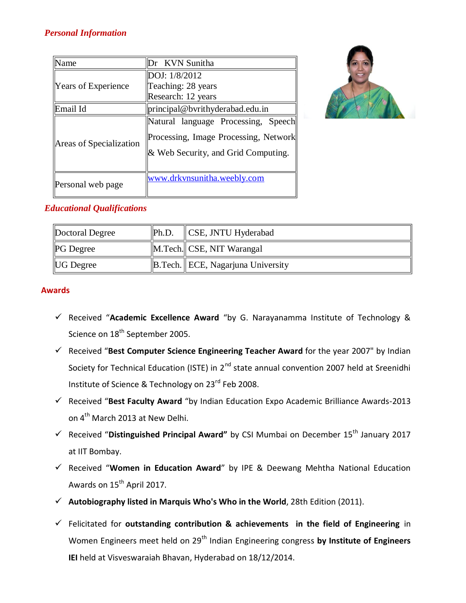# *Personal Information*

| Name                    | Dr KVN Sunitha                                                                                                      |
|-------------------------|---------------------------------------------------------------------------------------------------------------------|
| Years of Experience     | DOJ: 1/8/2012                                                                                                       |
|                         | Teaching: 28 years                                                                                                  |
|                         | Research: 12 years                                                                                                  |
| Email Id                | principal@bvrithyderabad.edu.in                                                                                     |
| Areas of Specialization | Natural language Processing, Speech<br>Processing, Image Processing, Network<br>& Web Security, and Grid Computing. |
| Personal web page       | www.drkvnsunitha.weebly.com                                                                                         |



# *Educational Qualifications*

| Doctoral Degree  | Ph.D. | CSE, JNTU Hyderabad                    |
|------------------|-------|----------------------------------------|
| <b>PG</b> Degree |       | M.Tech. CSE, NIT Warangal              |
| <b>UG</b> Degree |       | $\ B.Tech.\ ECE, Nagarjuna University$ |

## **Awards**

- Received "**Academic Excellence Award** "by G. Narayanamma Institute of Technology & Science on 18<sup>th</sup> September 2005.
- Received "**Best Computer Science Engineering Teacher Award** for the year 2007" by Indian Society for Technical Education (ISTE) in 2<sup>nd</sup> state annual convention 2007 held at Sreenidhi Institute of Science & Technology on 23<sup>rd</sup> Feb 2008.
- Received "**Best Faculty Award** "by Indian Education Expo Academic Brilliance Awards-2013 on 4<sup>th</sup> March 2013 at New Delhi.
- Received "**Distinguished Principal Award"** by CSI Mumbai on December 15th January 2017 at IIT Bombay.
- Received "**Women in Education Award**" by IPE & Deewang Mehtha National Education Awards on 15<sup>th</sup> April 2017.
- **Autobiography listed in Marquis Who's Who in the World**, 28th Edition (2011).
- Felicitated for **outstanding contribution & achievements in the field of Engineering** in Women Engineers meet held on 29<sup>th</sup> Indian Engineering congress by Institute of Engineers **IEI** held at Visveswaraiah Bhavan, Hyderabad on 18/12/2014.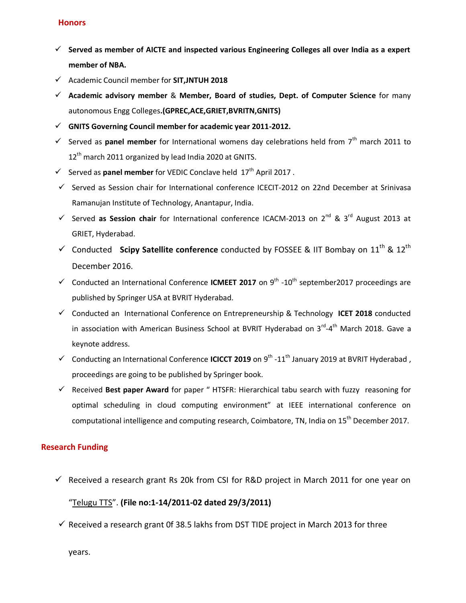## **Honors**

- **Served as member of AICTE and inspected various Engineering Colleges all over India as a expert member of NBA.**
- Academic Council member for **SIT,JNTUH 2018**
- **Academic advisory member** & **Member, Board of studies, Dept. of Computer Science** for many autonomous Engg Colleges**.(GPREC,ACE,GRIET,BVRITN,GNITS)**
- **GNITS Governing Council member for academic year 2011-2012.**
- $\checkmark$  Served as **panel member** for International womens day celebrations held from  $7^{\text{th}}$  march 2011 to  $12<sup>th</sup>$  march 2011 organized by lead India 2020 at GNITS.
- $\checkmark$  Served as **panel member** for VEDIC Conclave held  $17<sup>th</sup>$  April 2017.
- $\checkmark$  Served as Session chair for International conference ICECIT-2012 on 22nd December at Srinivasa Ramanujan Institute of Technology, Anantapur, India.
- Served as Session chair for International conference ICACM-2013 on  $2^{nd}$  &  $3^{rd}$  August 2013 at GRIET, Hyderabad.
- $\checkmark$  Conducted Scipy Satellite conference conducted by FOSSEE & IIT Bombay on  $11^{\text{th}}$  &  $12^{\text{th}}$ December 2016.
- ✓ Conducted an International Conference ICMEET 2017 on 9<sup>th</sup> -10<sup>th</sup> september2017 proceedings are published by Springer USA at BVRIT Hyderabad.
- Conducted an International Conference on Entrepreneurship & Technology **ICET 2018** conducted in association with American Business School at BVRIT Hyderabad on 3<sup>rd</sup>-4<sup>th</sup> March 2018. Gave a keynote address.
- √ Conducting an International Conference **ICICCT 2019** on 9<sup>th</sup> -11<sup>th</sup> January 2019 at BVRIT Hyderabad, proceedings are going to be published by Springer book.
- Received **Best paper Award** for paper " HTSFR: Hierarchical tabu search with fuzzy reasoning for optimal scheduling in cloud computing environment" at IEEE international conference on computational intelligence and computing research, Coimbatore, TN, India on 15<sup>th</sup> December 2017.

## **Research Funding**

 $\checkmark$  Received a research grant Rs 20k from CSI for R&D project in March 2011 for one year on "Telugu TTS". **(File no:1-14/2011-02 dated 29/3/2011)**

 $\checkmark$  Received a research grant 0f 38.5 lakhs from DST TIDE project in March 2013 for three

years.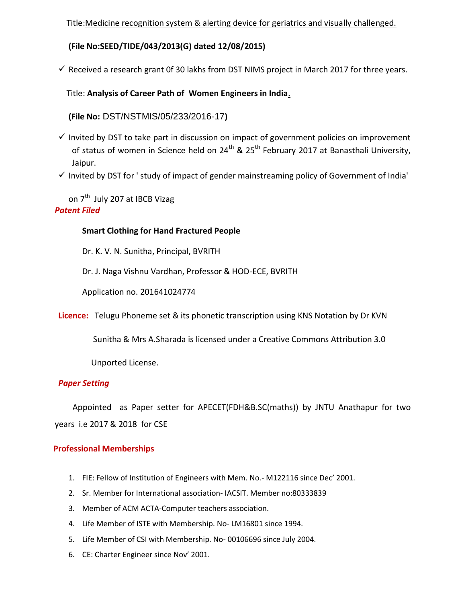Title:Medicine recognition system & alerting device for geriatrics and visually challenged.

 **(File No:SEED/TIDE/043/2013(G) dated 12/08/2015)**

 $\checkmark$  Received a research grant Of 30 lakhs from DST NIMS project in March 2017 for three years.

# Title: **Analysis of Career Path of Women Engineers in India**.

 **(File No:** DST/NSTMIS/05/233/2016-17**)**

- $\checkmark$  Invited by DST to take part in discussion on impact of government policies on improvement of status of women in Science held on  $24<sup>th</sup>$  &  $25<sup>th</sup>$  February 2017 at Banasthali University, Jaipur.
- $\checkmark$  Invited by DST for 'study of impact of gender mainstreaming policy of Government of India'

on 7<sup>th</sup> July 207 at IBCB Vizag *Patent Filed*

# **Smart Clothing for Hand Fractured People**

Dr. K. V. N. Sunitha, Principal, BVRITH

Dr. J. Naga Vishnu Vardhan, Professor & HOD-ECE, BVRITH

Application no. 201641024774

**Licence:** Telugu Phoneme set & its phonetic transcription using KNS Notation by Dr KVN

Sunitha & Mrs A.Sharada is licensed under a Creative Commons Attribution 3.0

Unported License.

# *Paper Setting*

 Appointed as Paper setter for APECET(FDH&B.SC(maths)) by JNTU Anathapur for two years i.e 2017 & 2018 for CSE

# **Professional Memberships**

- 1. FIE: Fellow of Institution of Engineers with Mem. No.- M122116 since Dec' 2001.
- 2. Sr. Member for International association- IACSIT. Member no:80333839
- 3. Member of ACM ACTA-Computer teachers association.
- 4. Life Member of ISTE with Membership. No- LM16801 since 1994.
- 5. Life Member of CSI with Membership. No- 00106696 since July 2004.
- 6. CE: Charter Engineer since Nov' 2001.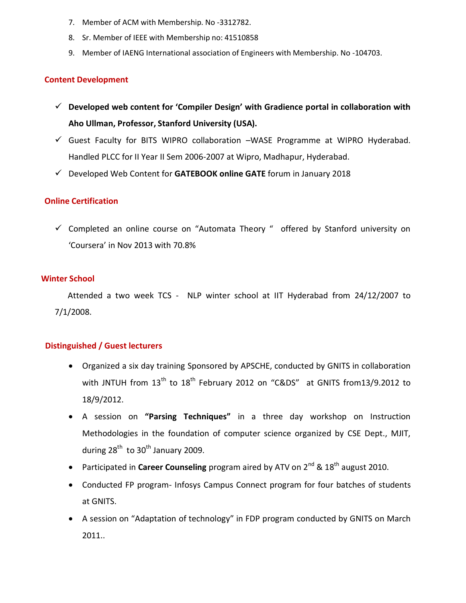- 7. Member of ACM with Membership. No -3312782.
- 8. Sr. Member of IEEE with Membership no: 41510858
- 9. Member of IAENG International association of Engineers with Membership. No -104703.

#### **Content Development**

- **Developed web content for 'Compiler Design' with Gradience portal in collaboration with Aho Ullman, Professor, Stanford University (USA).**
- $\checkmark$  Guest Faculty for BITS WIPRO collaboration –WASE Programme at WIPRO Hyderabad. Handled PLCC for II Year II Sem 2006-2007 at Wipro, Madhapur, Hyderabad.
- Developed Web Content for **GATEBOOK online GATE** forum in January 2018

## **Online Certification**

 $\checkmark$  Completed an online course on "Automata Theory" offered by Stanford university on 'Coursera' in Nov 2013 with 70.8%

#### **Winter School**

 Attended a two week TCS - NLP winter school at IIT Hyderabad from 24/12/2007 to 7/1/2008.

#### **Distinguished / Guest lecturers**

- Organized a six day training Sponsored by APSCHE, conducted by GNITS in collaboration with JNTUH from  $13<sup>th</sup>$  to  $18<sup>th</sup>$  February 2012 on "C&DS" at GNITS from13/9.2012 to 18/9/2012.
- A session on **"Parsing Techniques"** in a three day workshop on Instruction Methodologies in the foundation of computer science organized by CSE Dept., MJIT, during 28<sup>th</sup> to 30<sup>th</sup> January 2009.
- Participated in **Career Counseling** program aired by ATV on 2<sup>nd</sup> & 18<sup>th</sup> august 2010.
- Conducted FP program- Infosys Campus Connect program for four batches of students at GNITS.
- A session on "Adaptation of technology" in FDP program conducted by GNITS on March 2011..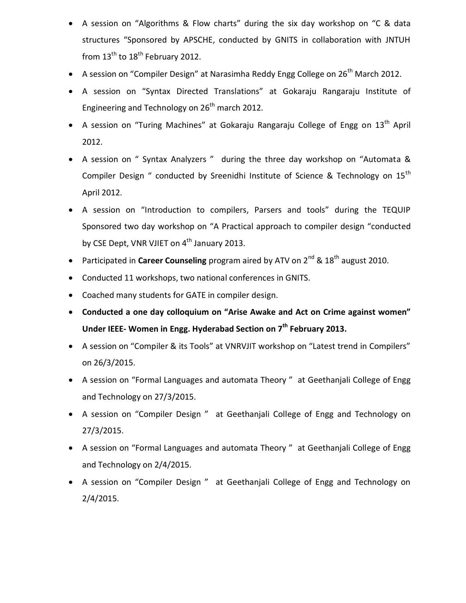- A session on "Algorithms & Flow charts" during the six day workshop on "C & data structures "Sponsored by APSCHE, conducted by GNITS in collaboration with JNTUH from  $13<sup>th</sup>$  to  $18<sup>th</sup>$  February 2012.
- A session on "Compiler Design" at Narasimha Reddy Engg College on 26<sup>th</sup> March 2012.
- A session on "Syntax Directed Translations" at Gokaraju Rangaraju Institute of Engineering and Technology on  $26<sup>th</sup>$  march 2012.
- A session on "Turing Machines" at Gokaraju Rangaraju College of Engg on  $13<sup>th</sup>$  April 2012.
- A session on " Syntax Analyzers " during the three day workshop on "Automata & Compiler Design " conducted by Sreenidhi Institute of Science & Technology on 15<sup>th</sup> April 2012.
- A session on "Introduction to compilers, Parsers and tools" during the TEQUIP Sponsored two day workshop on "A Practical approach to compiler design "conducted by CSE Dept, VNR VJIET on 4<sup>th</sup> January 2013.
- Participated in **Career Counseling** program aired by ATV on 2<sup>nd</sup> & 18<sup>th</sup> august 2010.
- Conducted 11 workshops, two national conferences in GNITS.
- Coached many students for GATE in compiler design.
- **Conducted a one day colloquium on "Arise Awake and Act on Crime against women" Under IEEE- Women in Engg. Hyderabad Section on 7th February 2013.**
- A session on "Compiler & its Tools" at VNRVJIT workshop on "Latest trend in Compilers" on 26/3/2015.
- A session on "Formal Languages and automata Theory " at Geethanjali College of Engg and Technology on 27/3/2015.
- A session on "Compiler Design " at Geethanjali College of Engg and Technology on 27/3/2015.
- A session on "Formal Languages and automata Theory " at Geethanjali College of Engg and Technology on 2/4/2015.
- A session on "Compiler Design " at Geethanjali College of Engg and Technology on 2/4/2015.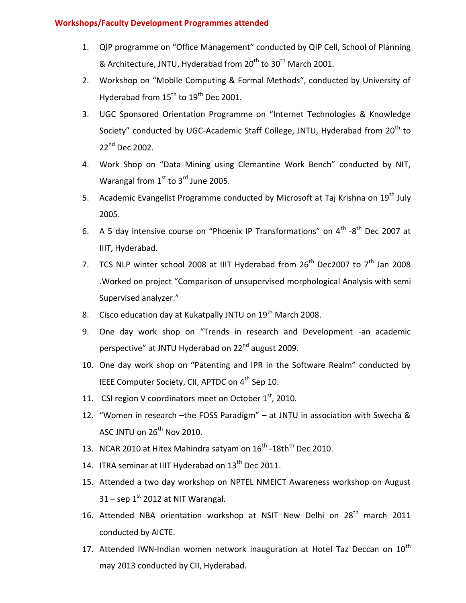## **Workshops/Faculty Development Programmes attended**

- 1. QIP programme on "Office Management" conducted by QIP Cell, School of Planning & Architecture, JNTU, Hyderabad from 20<sup>th</sup> to 30<sup>th</sup> March 2001.
- 2. Workshop on "Mobile Computing & Formal Methods", conducted by University of Hyderabad from 15<sup>th</sup> to 19<sup>th</sup> Dec 2001.
- 3. UGC Sponsored Orientation Programme on "Internet Technologies & Knowledge Society" conducted by UGC-Academic Staff College, JNTU, Hyderabad from 20<sup>th</sup> to 22<sup>nd</sup> Dec 2002.
- 4. Work Shop on "Data Mining using Clemantine Work Bench" conducted by NIT, Warangal from  $1<sup>st</sup>$  to  $3<sup>rd</sup>$  June 2005.
- 5. Academic Evangelist Programme conducted by Microsoft at Taj Krishna on 19<sup>th</sup> July 2005.
- 6. A 5 day intensive course on "Phoenix IP Transformations" on  $4^{\text{th}}$  -8<sup>th</sup> Dec 2007 at IIIT, Hyderabad.
- 7. TCS NLP winter school 2008 at IIIT Hyderabad from  $26<sup>th</sup>$  Dec2007 to  $7<sup>th</sup>$  Jan 2008 .Worked on project "Comparison of unsupervised morphological Analysis with semi Supervised analyzer."
- 8. Cisco education day at Kukatpally JNTU on 19<sup>th</sup> March 2008.
- 9. One day work shop on "Trends in research and Development -an academic perspective" at JNTU Hyderabad on 22<sup>nd</sup> august 2009.
- 10. One day work shop on "Patenting and IPR in the Software Realm" conducted by IEEE Computer Society, CII, APTDC on 4<sup>th</sup> Sep 10.
- 11. CSI region V coordinators meet on October  $1<sup>st</sup>$ , 2010.
- 12. "Women in research –the FOSS Paradigm" at JNTU in association with Swecha & ASC JNTU on  $26<sup>th</sup>$  Nov 2010.
- 13. NCAR 2010 at Hitex Mahindra satyam on  $16^{\text{th}}$  -18th<sup>th</sup> Dec 2010.
- 14. ITRA seminar at IIIT Hyderabad on 13<sup>th</sup> Dec 2011.
- 15. Attended a two day workshop on NPTEL NMEICT Awareness workshop on August  $31$  – sep  $1<sup>st</sup>$  2012 at NIT Warangal.
- 16. Attended NBA orientation workshop at NSIT New Delhi on 28<sup>th</sup> march 2011 conducted by AICTE.
- 17. Attended IWN-Indian women network inauguration at Hotel Taz Deccan on  $10^{th}$ may 2013 conducted by CII, Hyderabad.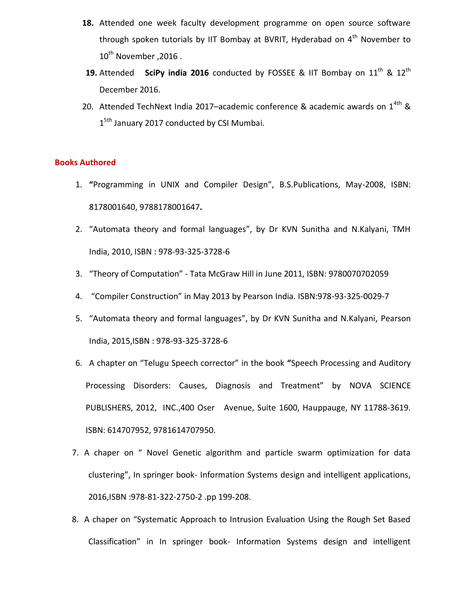- **18.** Attended one week faculty development programme on open source software through spoken tutorials by IIT Bombay at BVRIT, Hyderabad on  $4<sup>th</sup>$  November to  $10^{th}$  November , 2016 .
- **19.** Attended **SciPy india 2016** conducted by FOSSEE & IIT Bombay on 11<sup>th</sup> & 12<sup>th</sup> December 2016.
- 20. Attended TechNext India 2017–academic conference & academic awards on  $1^{4th}$  & 1<sup>5th</sup> January 2017 conducted by CSI Mumbai.

#### **Books Authored**

- 1. **"**Programming in UNIX and Compiler Design", B.S.Publications, May-2008, ISBN: 8178001640, 9788178001647**.**
- 2. "Automata theory and formal languages", by Dr KVN Sunitha and N.Kalyani, TMH India, 2010, ISBN : 978-93-325-3728-6
- 3. "Theory of Computation" Tata McGraw Hill in June 2011, ISBN: 9780070702059
- 4. "Compiler Construction" in May 2013 by Pearson India. ISBN:978-93-325-0029-7
- 5. "Automata theory and formal languages", by Dr KVN Sunitha and N.Kalyani, Pearson India, 2015,ISBN : 978-93-325-3728-6
- 6. A chapter on "Telugu Speech corrector" in the book **"**Speech Processing and Auditory Processing Disorders: Causes, Diagnosis and Treatment" by NOVA SCIENCE PUBLISHERS, 2012, INC.,400 Oser Avenue, Suite 1600, Hauppauge, NY 11788-3619. ISBN: 614707952, 9781614707950.
- 7. A chaper on " Novel Genetic algorithm and particle swarm optimization for data clustering", In springer book- Information Systems design and intelligent applications, 2016,ISBN :978-81-322-2750-2 .pp 199-208.
- 8. A chaper on "Systematic Approach to Intrusion Evaluation Using the Rough Set Based Classification" in In springer book- Information Systems design and intelligent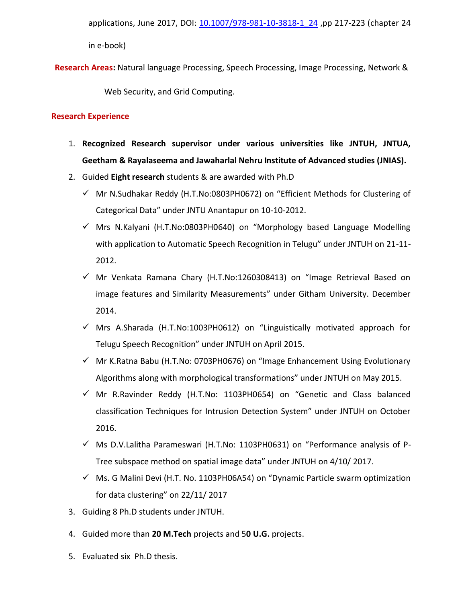applications, June 2017, DOI: 10.1007/978-981-10-3818-1 24 ,pp 217-223 (chapter 24

in e-book)

**Research Areas:** Natural language Processing, Speech Processing, Image Processing, Network &

Web Security, and Grid Computing.

## **Research Experience**

- 1. **Recognized Research supervisor under various universities like JNTUH, JNTUA, Geetham & Rayalaseema and Jawaharlal Nehru Institute of Advanced studies (JNIAS).**
- 2. Guided **Eight research** students & are awarded with Ph.D
	- $\checkmark$  Mr N.Sudhakar Reddy (H.T.No:0803PH0672) on "Efficient Methods for Clustering of Categorical Data" under JNTU Anantapur on 10-10-2012.
	- $\checkmark$  Mrs N.Kalyani (H.T.No:0803PH0640) on "Morphology based Language Modelling with application to Automatic Speech Recognition in Telugu" under JNTUH on 21-11-2012.
	- $\checkmark$  Mr Venkata Ramana Chary (H.T.No:1260308413) on "Image Retrieval Based on image features and Similarity Measurements" under Githam University. December 2014.
	- $\checkmark$  Mrs A.Sharada (H.T.No:1003PH0612) on "Linguistically motivated approach for Telugu Speech Recognition" under JNTUH on April 2015.
	- $\checkmark$  Mr K.Ratna Babu (H.T.No: 0703PH0676) on "Image Enhancement Using Evolutionary Algorithms along with morphological transformations" under JNTUH on May 2015.
	- $\checkmark$  Mr R.Ravinder Reddy (H.T.No: 1103PH0654) on "Genetic and Class balanced classification Techniques for Intrusion Detection System" under JNTUH on October 2016.
	- $\checkmark$  Ms D.V.Lalitha Parameswari (H.T.No: 1103PH0631) on "Performance analysis of P-Tree subspace method on spatial image data" under JNTUH on 4/10/ 2017.
	- $\checkmark$  Ms. G Malini Devi (H.T. No. 1103PH06A54) on "Dynamic Particle swarm optimization for data clustering" on 22/11/ 2017
- 3. Guiding 8 Ph.D students under JNTUH.
- 4. Guided more than **20 M.Tech** projects and 5**0 U.G.** projects.
- 5. Evaluated six Ph.D thesis.